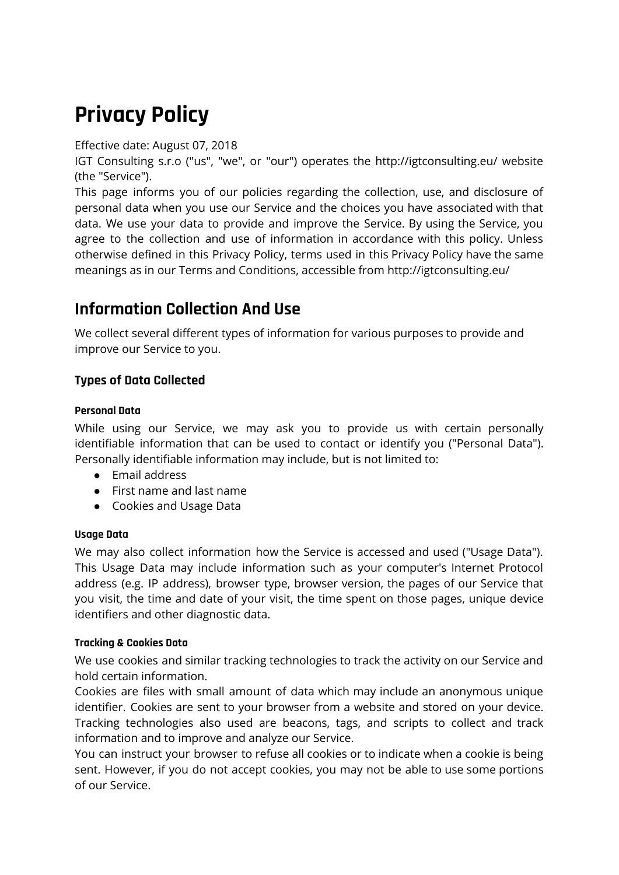# **Privacy Policy**

Effective date: August 07, 2018

IGT Consulting s.r.o ("us", "we", or "our") operates the http://igtconsulting.eu/ website (the "Service").

This page informs you of our policies regarding the collection, use, and disclosure of personal data when you use our Service and the choices you have associated with that data. We use your data to provide and improve the Service. By using the Service, you agree to the collection and use of information in accordance with this policy. Unless otherwise defined in this Privacy Policy, terms used in this Privacy Policy have the same meanings as in our Terms and Conditions, accessible from http://igtconsulting.eu/

# **Information Collection And Use**

We collect several different types of information for various purposes to provide and improve our Service to you.

### **Types of Data Collected**

#### **Personal Data**

While using our Service, we may ask you to provide us with certain personally identifiable information that can be used to contact or identify you ("Personal Data"). Personally identifiable information may include, but is not limited to:

- Email address
- First name and last name
- Cookies and Usage Data

#### **Usage Data**

We may also collect information how the Service is accessed and used ("Usage Data"). This Usage Data may include information such as your computer's Internet Protocol address (e.g. IP address), browser type, browser version, the pages of our Service that you visit, the time and date of your visit, the time spent on those pages, unique device identifiers and other diagnostic data.

#### **Tracking & Cookies Data**

We use cookies and similar tracking technologies to track the activity on our Service and hold certain information.

Cookies are files with small amount of data which may include an anonymous unique identifier. Cookies are sent to your browser from a website and stored on your device. Tracking technologies also used are beacons, tags, and scripts to collect and track information and to improve and analyze our Service.

You can instruct your browser to refuse all cookies or to indicate when a cookie is being sent. However, if you do not accept cookies, you may not be able to use some portions of our Service.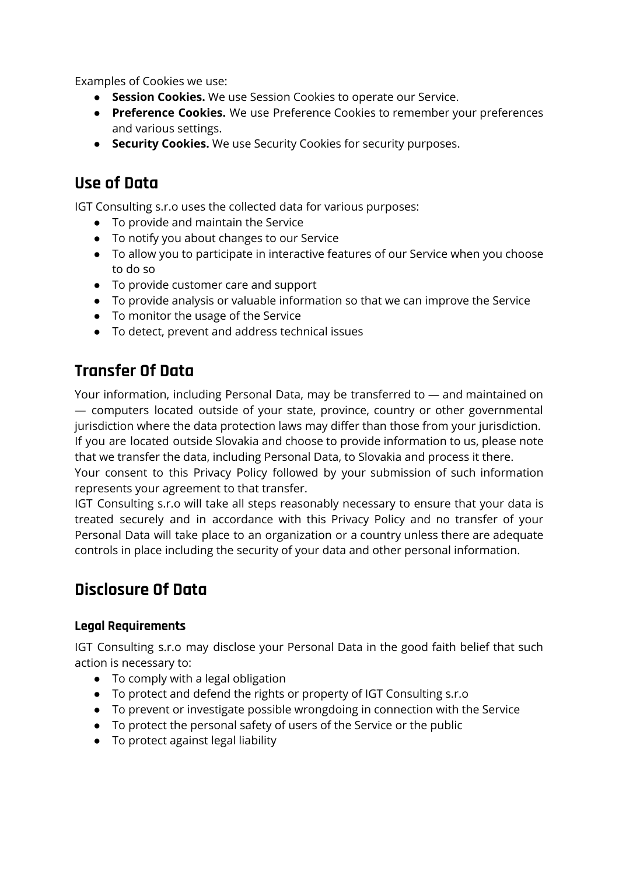Examples of Cookies we use:

- **Session Cookies.** We use Session Cookies to operate our Service.
- **Preference Cookies.** We use Preference Cookies to remember your preferences and various settings.
- **Security Cookies.** We use Security Cookies for security purposes.

### **Use of Data**

IGT Consulting s.r.o uses the collected data for various purposes:

- To provide and maintain the Service
- To notify you about changes to our Service
- To allow you to participate in interactive features of our Service when you choose to do so
- To provide customer care and support
- To provide analysis or valuable information so that we can improve the Service
- To monitor the usage of the Service
- To detect, prevent and address technical issues

# **Transfer Of Data**

Your information, including Personal Data, may be transferred to — and maintained on — computers located outside of your state, province, country or other governmental jurisdiction where the data protection laws may differ than those from your jurisdiction. If you are located outside Slovakia and choose to provide information to us, please note that we transfer the data, including Personal Data, to Slovakia and process it there. Your consent to this Privacy Policy followed by your submission of such information represents your agreement to that transfer.

IGT Consulting s.r.o will take all steps reasonably necessary to ensure that your data is treated securely and in accordance with this Privacy Policy and no transfer of your Personal Data will take place to an organization or a country unless there are adequate controls in place including the security of your data and other personal information.

# **Disclosure Of Data**

### **Legal Requirements**

IGT Consulting s.r.o may disclose your Personal Data in the good faith belief that such action is necessary to:

- To comply with a legal obligation
- To protect and defend the rights or property of IGT Consulting s.r.o
- To prevent or investigate possible wrongdoing in connection with the Service
- To protect the personal safety of users of the Service or the public
- To protect against legal liability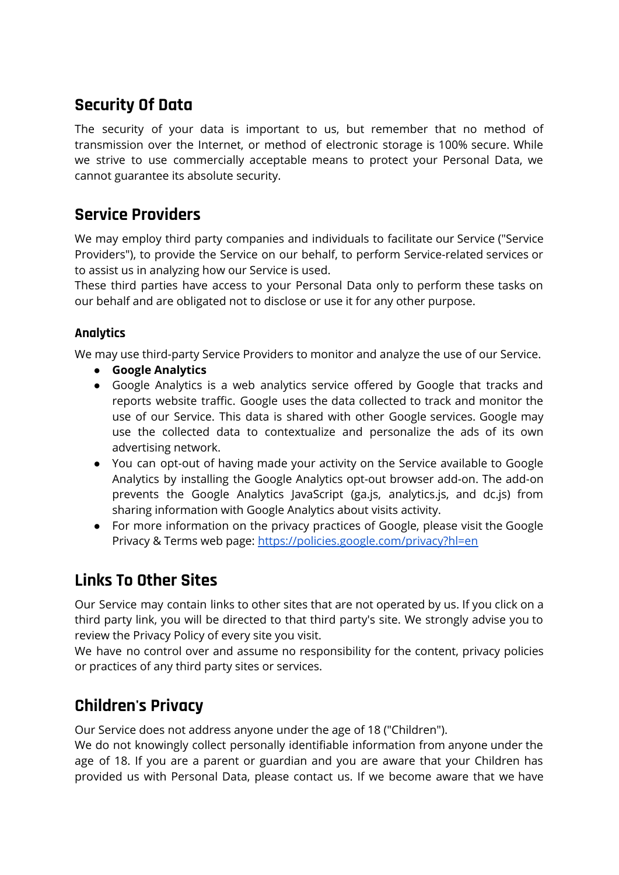### **Security Of Data**

The security of your data is important to us, but remember that no method of transmission over the Internet, or method of electronic storage is 100% secure. While we strive to use commercially acceptable means to protect your Personal Data, we cannot guarantee its absolute security.

### **Service Providers**

We may employ third party companies and individuals to facilitate our Service ("Service Providers"), to provide the Service on our behalf, to perform Service-related services or to assist us in analyzing how our Service is used.

These third parties have access to your Personal Data only to perform these tasks on our behalf and are obligated not to disclose or use it for any other purpose.

### **Analytics**

We may use third-party Service Providers to monitor and analyze the use of our Service.

- **Google Analytics**
- Google Analytics is a web analytics service offered by Google that tracks and reports website traffic. Google uses the data collected to track and monitor the use of our Service. This data is shared with other Google services. Google may use the collected data to contextualize and personalize the ads of its own advertising network.
- You can opt-out of having made your activity on the Service available to Google Analytics by installing the Google Analytics opt-out browser add-on. The add-on prevents the Google Analytics JavaScript (ga.js, analytics.js, and dc.js) from sharing information with Google Analytics about visits activity.
- For more information on the privacy practices of Google, please visit the Google Privacy & Terms web page[:](https://policies.google.com/privacy?hl=en) <https://policies.google.com/privacy?hl=en>

# **Links To Other Sites**

Our Service may contain links to other sites that are not operated by us. If you click on a third party link, you will be directed to that third party's site. We strongly advise you to review the Privacy Policy of every site you visit.

We have no control over and assume no responsibility for the content, privacy policies or practices of any third party sites or services.

# **Children's Privacy**

Our Service does not address anyone under the age of 18 ("Children").

We do not knowingly collect personally identifiable information from anyone under the age of 18. If you are a parent or guardian and you are aware that your Children has provided us with Personal Data, please contact us. If we become aware that we have